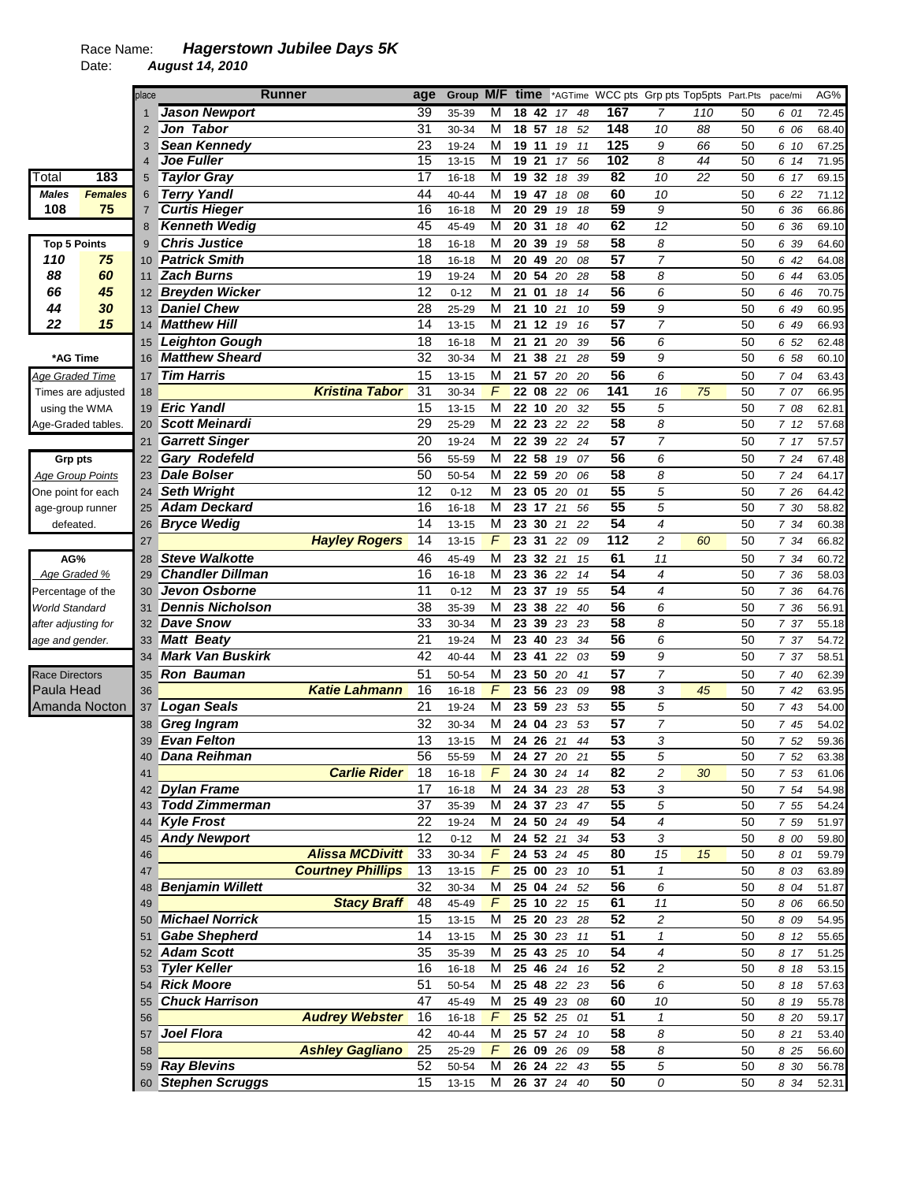## Race Name: *Hagerstown Jubilee Days 5K*

Date: *August 14, 2010* 

|                       |                         | place           | <b>Runner</b>           |                          | age             |                |                |                   |    |             |          |                 | Group M/F time *AGTime WCC pts Grp pts Top5pts Part.Pts |     |    | pace/mi      | AG%            |
|-----------------------|-------------------------|-----------------|-------------------------|--------------------------|-----------------|----------------|----------------|-------------------|----|-------------|----------|-----------------|---------------------------------------------------------|-----|----|--------------|----------------|
|                       |                         |                 | <b>Jason Newport</b>    |                          | 39              | 35-39          | M              | 18                | 42 | 17          | 48       | 167             | 7                                                       | 110 | 50 | 6 01         | 72.45          |
|                       |                         | 2               | Jon Tabor               |                          | 31              | 30-34          | M              | 18 57             |    | 18          | 52       | 148             | 10                                                      | 88  | 50 | 6 06         | 68.40          |
|                       |                         | 3               | <b>Sean Kennedy</b>     |                          | 23              | 19-24          | M              | 19 11             |    | 19          | 11       | 125             | 9                                                       | 66  | 50 | 6 10         | 67.25          |
|                       |                         | $\overline{4}$  | <b>Joe Fuller</b>       |                          | 15              | $13 - 15$      | M              | 19 21             |    | 17          | 56       | 102             | 8                                                       | 44  | 50 | 6 14         | 71.95          |
| Total                 | 183                     | $\sqrt{5}$      | <b>Taylor Gray</b>      |                          | $\overline{17}$ | $16 - 18$      | M              | 1932              |    | 18          | 39       | $\overline{82}$ | $\overline{10}$                                         | 22  | 50 | 6 17         | 69.15          |
| <b>Males</b>          | <b>Females</b>          | 6               | <b>Terry Yandl</b>      |                          | 44              | 40-44          | M              | 19 47             |    | 18          | 08       | 60              | 10                                                      |     | 50 | 6 22         | 71.12          |
| 108                   | 75                      | $\overline{7}$  | <b>Curtis Hieger</b>    |                          | 16              | $16 - 18$      | M              | $20\overline{29}$ |    | 19          | 18       | 59              | $\overline{g}$                                          |     | 50 | 6 36         | 66.86          |
|                       |                         | 8               | <b>Kenneth Wedig</b>    |                          | 45              | 45-49          | M              | 2031              |    | 18          | 40       | 62              | $\overline{12}$                                         |     | 50 | 6 36         | 69.10          |
| <b>Top 5 Points</b>   |                         | 9               | <b>Chris Justice</b>    |                          | 18              | 16-18          | M              | 20 39             |    | 19          | 58       | 58              | 8                                                       |     | 50 | 6 39         | 64.60          |
| 110                   | 75                      | 10 <sup>°</sup> | <b>Patrick Smith</b>    |                          | 18              | $16 - 18$      | M              | 20 49             |    | 20          | 08       | 57              | $\overline{7}$                                          |     | 50 | 6 42         | 64.08          |
| 88                    | 60                      | 11              | <b>Zach Burns</b>       |                          | 19              | 19-24          | M              | 20 54             |    | 20          | 28       | $\overline{58}$ | 8                                                       |     | 50 | 6 44         | 63.05          |
| 66                    | 45                      | 12              | <b>Breyden Wicker</b>   |                          | $\overline{12}$ | $0 - 12$       | M              | 21                | 01 | 18          | 14       | 56              | 6                                                       |     | 50 | 6 46         | 70.75          |
| 44                    | 30                      | 13              | <b>Daniel Chew</b>      |                          | 28              | 25-29          | M              | 21 10             |    | 21          | 10       | 59              | 9                                                       |     | 50 | 6 49         | 60.95          |
| 22                    | 15                      | 14              | <b>Matthew Hill</b>     |                          | 14              | $13 - 15$      | M              | 21 12             |    | 19          | 16       | $\overline{57}$ | $\overline{7}$                                          |     | 50 | 6 49         | 66.93          |
|                       |                         |                 | <b>Leighton Gough</b>   |                          | 18              |                | M              | 21 21             |    | 20          |          | 56              | 6                                                       |     | 50 |              |                |
| *AG Time              |                         | 15<br>16        | <b>Matthew Sheard</b>   |                          | 32              | 16-18<br>30-34 | M              | 21                | 38 | 21          | 39<br>28 | 59              | 9                                                       |     | 50 | 6 52<br>6 58 | 62.48<br>60.10 |
|                       |                         |                 |                         |                          |                 |                |                |                   |    |             |          |                 |                                                         |     |    |              |                |
| Age Graded Time       |                         | 17              | <b>Tim Harris</b>       |                          | 15              | 13-15          | M              |                   |    | 21 57 20 20 |          | $\overline{56}$ | 6                                                       |     | 50 | 7 04         | 63.43          |
|                       | Times are adjusted      | 18              |                         | <b>Kristina Tabor</b>    | 31              | 30-34          | F              | 22 08             |    | 22          | 06       | 141             | 16                                                      | 75  | 50 | 7 07         | 66.95          |
|                       | using the WMA           | 19              | <b>Eric Yandl</b>       |                          | 15              | $13 - 15$      | M              | 22 10             |    | 20          | 32       | $\overline{55}$ | 5                                                       |     | 50 | 7 08         | 62.81          |
|                       | Age-Graded tables.      | 20              | <b>Scott Meinardi</b>   |                          | 29              | 25-29          | M              | 22 23             |    | 22          | 22       | 58              | 8                                                       |     | 50 | 712          | 57.68          |
|                       |                         | 21              | <b>Garrett Singer</b>   |                          | 20              | 19-24          | $\overline{M}$ |                   |    | 22 39 22 24 |          | 57              | $\overline{7}$                                          |     | 50 | 7 17         | 57.57          |
| <b>Grp pts</b>        |                         | 22              | <b>Gary Rodefeld</b>    |                          | 56              | 55-59          | M              | 22 58             |    | 19          | 07       | 56              | 6                                                       |     | 50 | 7 24         | 67.48          |
|                       | <b>Age Group Points</b> | 23              | <b>Dale Bolser</b>      |                          | 50              | 50-54          | M              | 22 59             |    | 20          | 06       | 58              | 8                                                       |     | 50 | 7 24         | 64.17          |
| One point for each    |                         | 24              | <b>Seth Wright</b>      |                          | 12              | $0 - 12$       | M              | 23 05 20          |    |             | 01       | 55              | 5                                                       |     | 50 | 7 26         | 64.42          |
|                       | age-group runner        | 25              | <b>Adam Deckard</b>     |                          | 16              | 16-18          | M              | 23 17             |    | 21          | 56       | 55              | 5                                                       |     | 50 | 7 30         | 58.82          |
| defeated.             |                         | 26              | <b>Bryce Wedig</b>      |                          | 14              | $13 - 15$      | M              | 23 30             |    | 21          | 22       | 54              | $\overline{4}$                                          |     | 50 | 7 34         | 60.38          |
|                       |                         | 27              |                         | <b>Hayley Rogers</b>     | 14              | 13-15          | $\overline{F}$ | 23 31             |    | 22          | 09       | 112             | $\overline{c}$                                          | 60  | 50 | 7 34         | 66.82          |
| AG%                   |                         | 28              | <b>Steve Walkotte</b>   |                          | 46              | 45-49          | M              | 23 32             |    | 21          | 15       | 61              | 11                                                      |     | 50 | 7 34         | 60.72          |
| Age Graded %          |                         | 29              | <b>Chandler Dillman</b> |                          | 16              | $16 - 18$      | M              | 23 36             |    | 22          | 14       | 54              | $\overline{4}$                                          |     | 50 | 7 36         | 58.03          |
| Percentage of the     |                         | 30              | <b>Jevon Osborne</b>    |                          | 11              | $0 - 12$       | M              | 23 37 19          |    |             | 55       | 54              | 4                                                       |     | 50 | 7 36         | 64.76          |
| <b>World Standard</b> |                         | 31              | <b>Dennis Nicholson</b> |                          | 38              | 35-39          | M              | 23 38             |    | 22          | 40       | 56              | 6                                                       |     | 50 | 7 36         | 56.91          |
| after adjusting for   |                         | 32              | <b>Dave Snow</b>        |                          | 33              | 30-34          | M              | 23                | 39 | 23          | 23       | 58              | 8                                                       |     | 50 | 7 37         | 55.18          |
| age and gender.       |                         | 33              | <b>Matt Beaty</b>       |                          | 21              | 19-24          | M              | 23 40             |    | 23          | 34       | 56              | 6                                                       |     | 50 | 7 37         | 54.72          |
|                       |                         | 34              | <b>Mark Van Buskirk</b> |                          | 42              | 40-44          | M              | 23 41             |    | 22          | 03       | 59              | 9                                                       |     | 50 | 7 37         | 58.51          |
|                       |                         |                 |                         |                          |                 |                |                |                   |    |             |          |                 |                                                         |     |    |              |                |
| <b>Race Directors</b> |                         | 35              | <b>Ron Bauman</b>       |                          | 51              | 50-54          | M              | 23 50             |    | 20          | 41       | 57              | 7                                                       |     | 50 | 7 40         | 62.39          |
| Paula Head            |                         | 36              |                         | <b>Katie Lahmann</b>     | 16              | 16-18          | F              | 23 56             |    | 23          | 09       | 98<br>55        | 3                                                       | 45  | 50 | 742          | 63.95          |
|                       | Amanda Nocton           | 37              | <b>Logan Seals</b>      |                          | 21              | 19-24          | M              | 23 59             |    | 23 53       |          |                 | 5                                                       |     | 50 | 7 43         | 54.00          |
|                       |                         | 38              | Greg Ingram             |                          | 32              | 30-34          | M              | 24 04             |    | 23          | 53       | 57              | $\overline{7}$                                          |     | 50 | 7 45         | 54.02          |
|                       |                         | 39              | <b>Evan Felton</b>      |                          | 13              | $13 - 15$      | M              | 24                | 26 | 21          | 44       | $\overline{53}$ | 3                                                       |     | 50 | 7 52         | 59.36          |
|                       |                         |                 | Dana Reihman            |                          | $\overline{56}$ | 55-59          | М              |                   |    | 24 27 20 21 |          | 55              | 5                                                       |     | 50 | 7 52         | 63.38          |
|                       |                         | 41              |                         | <b>Carlie Rider</b>      | 18              | 16-18          | F.             |                   |    | 24 30 24 14 |          | 82              | 2                                                       | 30  | 50 | 7 53         | 61.06          |
|                       |                         | 42              | <b>Dylan Frame</b>      |                          | 17              | 16-18          | M              |                   |    | 24 34 23 28 |          | 53              | 3                                                       |     | 50 | 7 54         | 54.98          |
|                       |                         | 43              | <b>Todd Zimmerman</b>   |                          | 37              | 35-39          | м              |                   |    | 24 37 23 47 |          | 55              | 5                                                       |     | 50 | 7 55         | 54.24          |
|                       |                         | 44              | <b>Kyle Frost</b>       |                          | 22              | 19-24          | м              |                   |    | 24 50 24 49 |          | 54              | 4                                                       |     | 50 | 7 59         | 51.97          |
|                       |                         | 45              | <b>Andy Newport</b>     |                          | 12              | $0 - 12$       | M              | 24 52 21          |    |             | 34       | 53              | 3                                                       |     | 50 | 8 00         | 59.80          |
|                       |                         | 46              |                         | <b>Alissa MCDivitt</b>   | 33              | 30-34          | $\sqrt{2}$     |                   |    | 24 53 24 45 |          | 80              | 15                                                      | 15  | 50 | 8 01         | 59.79          |
|                       |                         | 47              |                         | <b>Courtney Phillips</b> | 13              | $13 - 15$      | F              |                   |    | 25 00 23 10 |          | 51              | $\mathbf{1}$                                            |     | 50 | 8 0 3        | 63.89          |
|                       |                         | 48              | <b>Benjamin Willett</b> |                          | 32              | 30-34          | M              |                   |    | 25 04 24 52 |          | 56              | 6                                                       |     | 50 | 8 04         | 51.87          |
|                       |                         | 49              |                         | <b>Stacy Braff</b>       | 48              | 45-49          | F              |                   |    | 25 10 22 15 |          | 61              | 11                                                      |     | 50 | 8 0 6        | 66.50          |
|                       |                         | 50              | <b>Michael Norrick</b>  |                          | 15              | 13-15          | M              |                   |    | 25 20 23 28 |          | $\overline{52}$ | $\overline{c}$                                          |     | 50 | 8 0 9        | 54.95          |
|                       |                         | 51              | <b>Gabe Shepherd</b>    |                          | 14              | 13-15          | M              |                   |    | 25 30 23 11 |          | 51              | 1                                                       |     | 50 | 8 12         | 55.65          |
|                       |                         | 52              | <b>Adam Scott</b>       |                          | 35              | 35-39          | M              |                   |    | 25 43 25 10 |          | 54              | 4                                                       |     | 50 | 8 17         | 51.25          |
|                       |                         | 53              | <b>Tyler Keller</b>     |                          | 16              | 16-18          | M              |                   |    | 25 46 24 16 |          | 52              | 2                                                       |     | 50 | 8 18         | 53.15          |
|                       |                         | 54              | <b>Rick Moore</b>       |                          | 51              | 50-54          | M              |                   |    | 25 48 22 23 |          | 56              | 6                                                       |     | 50 | 8 18         | 57.63          |
|                       |                         | 55              | <b>Chuck Harrison</b>   |                          | 47              | 45-49          | M              |                   |    | 25 49 23 08 |          | 60              | 10                                                      |     | 50 | 8 19         | 55.78          |
|                       |                         | 56              |                         | <b>Audrey Webster</b>    | 16              | 16-18          | $\sqrt{F}$     | 25 52 25          |    |             | 01       | $\overline{51}$ | $\mathbf{1}$                                            |     | 50 | 8 20         | 59.17          |
|                       |                         | 57              | Joel Flora              |                          | 42              | 40-44          | M              |                   |    | 25 57 24 10 |          | 58              | 8                                                       |     | 50 | 8 21         | 53.40          |
|                       |                         | 58              |                         | <b>Ashley Gagliano</b>   | 25              | 25-29          | F              |                   |    | 26 09 26 09 |          | 58              | 8                                                       |     | 50 | 8 25         | 56.60          |
|                       |                         | 59              | <b>Ray Blevins</b>      |                          | 52              | 50-54          | M              |                   |    | 26 24 22 43 |          | 55              | 5                                                       |     | 50 | 8 30         | 56.78          |
|                       |                         |                 |                         |                          |                 |                |                |                   |    |             |          | 50              |                                                         |     |    |              |                |
|                       |                         |                 | 60 Stephen Scruggs      |                          | 15              | 13-15          | М              |                   |    | 26 37 24 40 |          |                 | 0                                                       |     | 50 | 8 34         | 52.31          |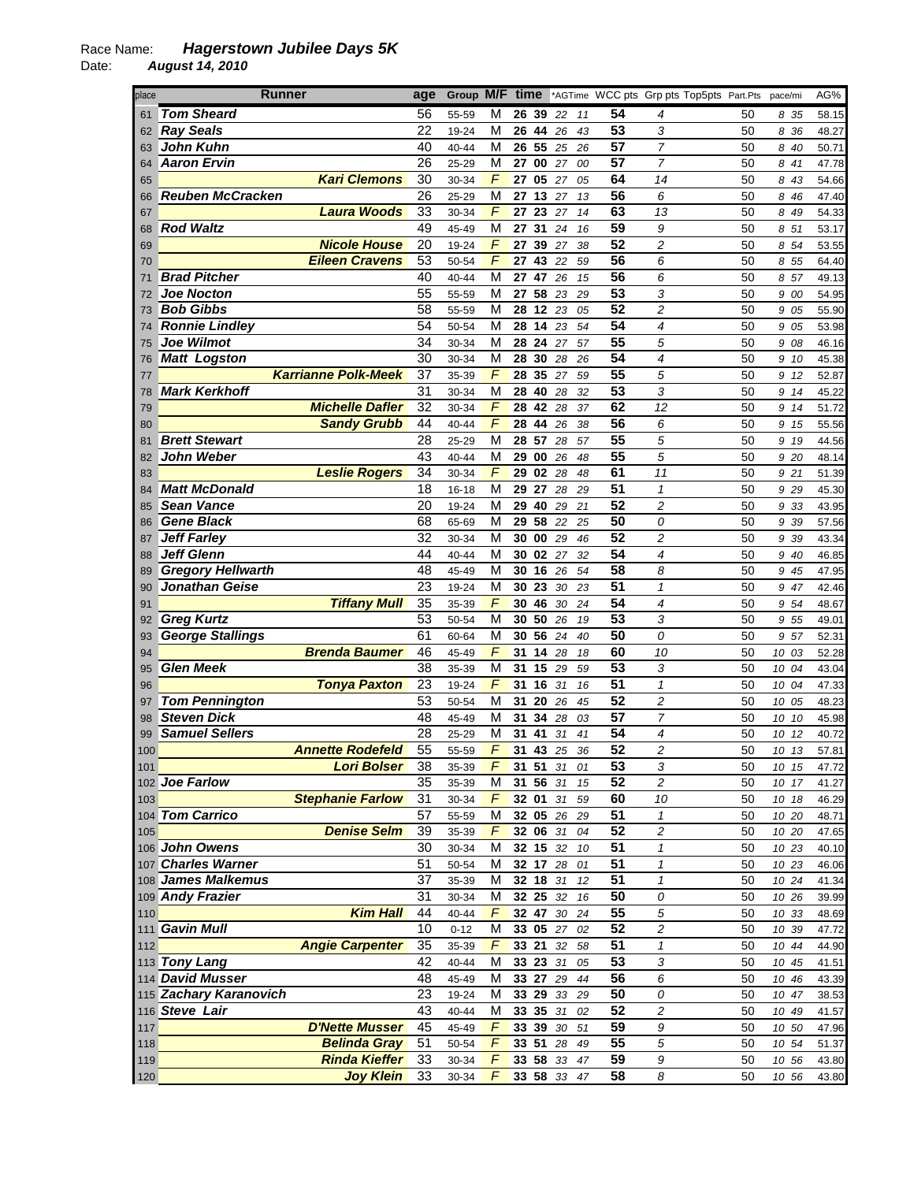Date: *August 14, 2010* 

| place    | <b>Runner</b>              | age             | Group M/F time          |          |    |        |    |                 | *AGTime WCC pts Grp pts Top5pts Part.Pts |    | pace/mi  | AG%   |
|----------|----------------------------|-----------------|-------------------------|----------|----|--------|----|-----------------|------------------------------------------|----|----------|-------|
| 61       | <b>Tom Sheard</b>          | 56              | М<br>55-59              | 26 39    |    | -22    | 11 | 54              | 4                                        | 50 | 835      | 58.15 |
| 62       | <b>Ray Seals</b>           | 22              | M<br>19-24              | 26 44    |    | 26     | 43 | 53              | 3                                        | 50 | 8 36     | 48.27 |
| 63       | <b>John Kuhn</b>           | 40              | м<br>40-44              | 26 55    |    | 25     | 26 | 57              | $\overline{7}$                           | 50 | 8 40     | 50.71 |
| 64       | <b>Aaron Ervin</b>         | 26              | M<br>25-29              | 27 00    |    | 27     | 00 | 57              | $\overline{7}$                           | 50 | 8 41     | 47.78 |
| 65       | <b>Kari Clemons</b>        | 30              | F<br>30-34              | 27 05    |    | 27     | 05 | 64              | 14                                       | 50 | 8 43     | 54.66 |
| 66       | <b>Reuben McCracken</b>    | 26              | М<br>25-29              | 27 13 27 |    |        | 13 | 56              | 6                                        | 50 | 8 46     | 47.40 |
| 67       | <b>Laura Woods</b>         | 33              | F<br>30-34              | 27 23    |    | 27     | 14 | 63              | 13                                       | 50 | 8 49     | 54.33 |
| 68       | <b>Rod Waltz</b>           | 49              | M<br>45-49              | 27       | 31 | 24     | 16 | 59              | 9                                        | 50 | 8 51     | 53.17 |
| 69       | <b>Nicole House</b>        | 20              | F<br>19-24              | 27 39    |    | 27     | 38 | 52              | $\overline{c}$                           | 50 | 8 54     | 53.55 |
| 70       | <b>Eileen Cravens</b>      | 53              | F<br>50-54              | 27       | 43 | 22     | 59 | 56              | 6                                        | 50 | 8 55     | 64.40 |
| 71       | <b>Brad Pitcher</b>        | 40              | М<br>40-44              | 27 47    |    | 26     | 15 | 56              | 6                                        | 50 | 8 57     | 49.13 |
| 72       | <b>Joe Nocton</b>          | 55              | М<br>55-59              | 27 58    |    | 23     | 29 | 53              | 3                                        | 50 | 9 00     | 54.95 |
| 73       | <b>Bob Gibbs</b>           | 58              | М<br>55-59              | 28       | 12 | 23     | 05 | 52              | 2                                        | 50 | 9 05     | 55.90 |
| 74       | <b>Ronnie Lindley</b>      | 54              | м<br>50-54              | 28 14    |    | 23     | 54 | 54              | 4                                        | 50 | 9 05     | 53.98 |
| 75       | <b>Joe Wilmot</b>          | 34              | M<br>30-34              | 28 24    |    | 27     | 57 | $\overline{55}$ | 5                                        | 50 | 9 08     | 46.16 |
| 76       | <b>Matt Logston</b>        | 30              | M<br>30-34              | 28 30    |    | 28     | 26 | 54              | 4                                        | 50 | 9 10     | 45.38 |
| 77       | <b>Karrianne Polk-Meek</b> | 37              | F<br>35-39              | 28 35    |    | 27     | 59 | 55              | 5                                        | 50 | 9 12     | 52.87 |
| 78       | <b>Mark Kerkhoff</b>       | $\overline{31}$ | M<br>30-34              | 28 40    |    | 28     | 32 | 53              | 3                                        | 50 | 9 14     | 45.22 |
| 79       | <b>Michelle Dafler</b>     | 32              | $\sqrt{2}$<br>30-34     | 28       | 42 | 28     | 37 | 62              | 12                                       | 50 | 9 14     | 51.72 |
| 80       | <b>Sandy Grubb</b>         | 44              | $\sqrt{ }$<br>40-44     | 28 44    |    | 26     | 38 | 56              | 6                                        | 50 | 9 15     | 55.56 |
| 81       | <b>Brett Stewart</b>       | 28              | M<br>25-29              | 28 57    |    | 28     | 57 | 55              | 5                                        | 50 | 9 19     | 44.56 |
|          | John Weber                 | 43              | М<br>40-44              | 29 00    |    | 26     | 48 | 55              | 5                                        | 50 | 9 20     | 48.14 |
| 82<br>83 | <b>Leslie Rogers</b>       | 34              | F<br>30-34              | 29 02 28 |    |        | 48 | 61              | 11                                       | 50 | 9 21     |       |
|          | <b>Matt McDonald</b>       | 18              | M                       | 29 27    |    | 28     | 29 | 51              | $\mathbf{1}$                             | 50 | 9 29     | 51.39 |
| 84       | <b>Sean Vance</b>          | 20              | 16-18<br>М              | 29 40    |    |        | 21 | 52              | $\overline{c}$                           | 50 |          | 45.30 |
| 85       | <b>Gene Black</b>          | 68              | 19-24<br>M              | 29 58    |    | 29     |    | 50              |                                          | 50 | 9 33     | 43.95 |
| 86       | Jeff Farley                | 32              | 65-69<br>М              | 30 00    |    | 22     | 25 | 52              | 0<br>2                                   |    | 9 3 9    | 57.56 |
| 87       |                            |                 | 30-34                   |          |    | 29     | 46 |                 |                                          | 50 | 9 39     | 43.34 |
| 88       | Jeff Glenn                 | 44              | 40-44<br>М              | 30 02 27 |    |        | 32 | 54              | 4                                        | 50 | 9 40     | 46.85 |
| 89       | <b>Gregory Hellwarth</b>   | $\overline{48}$ | M<br>45-49              | 30       | 16 | 26     | 54 | $\overline{58}$ | 8                                        | 50 | 9 45     | 47.95 |
| 90       | Jonathan Geise             | $\overline{23}$ | M<br>19-24              | 30       | 23 | 30     | 23 | 51              | $\mathbf{1}$                             | 50 | 9 47     | 42.46 |
| 91       | <b>Tiffany Mull</b>        | 35              | $\sqrt{2}$<br>35-39     | 30 46    |    | 30     | 24 | 54              | 4                                        | 50 | 9 54     | 48.67 |
| 92       | <b>Greg Kurtz</b>          | 53              | M<br>50-54              | 30 50    |    | 26     | 19 | 53              | 3                                        | 50 | 9 55     | 49.01 |
| 93       | <b>George Stallings</b>    | 61              | M<br>60-64              | 30 56    |    | 24     | 40 | 50              | 0                                        | 50 | 9 57     | 52.31 |
| 94       | <b>Brenda Baumer</b>       | 46              | F<br>45-49              | 31       | 14 | 28     | 18 | 60              | 10                                       | 50 | 10 03    | 52.28 |
| 95       | <b>Glen Meek</b>           | 38              | M<br>35-39              | 31       | 15 | 29     | 59 | 53              | 3                                        | 50 | 10 04    | 43.04 |
| 96       | <b>Tonya Paxton</b>        | 23              | F<br>19-24              | 31       | 16 | 31     | 16 | $\overline{51}$ | $\mathbf{1}$                             | 50 | 10 04    | 47.33 |
| 97       | <b>Tom Pennington</b>      | 53              | M<br>50-54              | 31       | 20 | 26     | 45 | 52              | 2                                        | 50 | 10 05    | 48.23 |
| 98       | <b>Steven Dick</b>         | 48              | М<br>45-49              | 31       | 34 | 28     | 03 | 57              | 7                                        | 50 | 10<br>10 | 45.98 |
| 99       | <b>Samuel Sellers</b>      | 28              | М<br>25-29              | 31       | 41 | 31     | 41 | 54              | 4                                        | 50 | 10 12    | 40.72 |
| 100      | <b>Annette Rodefeld</b>    | $\overline{55}$ | F<br>55-59              | 31       | 43 | 25     | 36 | 52              | $\overline{c}$                           | 50 | 10 13    | 57.81 |
| 101      | <b>Lori Bolser</b>         | 38              | 35-39<br>F              | 31 51    |    | 31     | 01 | 53              | 3                                        | 50 | 10 15    | 47.72 |
|          | 102 Joe Farlow             | 35              | M<br>35-39              | 31 56 31 |    |        | 15 | 52              | $\overline{c}$                           | 50 | 10 17    | 41.27 |
| 103      | <b>Stephanie Farlow</b>    | 31              | $\overline{F}$<br>30-34 | 32 01 31 |    |        | 59 | 60              | 10                                       | 50 | 10 18    | 46.29 |
|          | 104 Tom Carrico            | 57              | M<br>55-59              | 32 05 26 |    |        | 29 | 51              | 1                                        | 50 | 10 20    | 48.71 |
| 105      | <b>Denise Selm</b>         | 39              | F<br>35-39              | 32 06 31 |    |        | 04 | 52              | $\overline{c}$                           | 50 | 10 20    | 47.65 |
|          | 106 John Owens             | 30              | 30-34<br>М              | 32 15 32 |    |        | 10 | $\overline{51}$ | $\pmb{\mathcal{I}}$                      | 50 | 10 23    | 40.10 |
|          | 107 Charles Warner         | 51              | M<br>50-54              | 32 17    |    | 28     | 01 | $\overline{51}$ | $\pmb{\mathcal{I}}$                      | 50 | 10 23    | 46.06 |
|          | 108 James Malkemus         | 37              | M<br>35-39              | 32 18 31 |    |        | 12 | 51              | $\mathbf{1}$                             | 50 | 10 24    | 41.34 |
|          | 109 Andy Frazier           | 31              | 30-34<br>М              | 32 25    |    | 32     | 16 | 50              | 0                                        | 50 | 10 26    | 39.99 |
| 110      | <b>Kim Hall</b>            | 44              | F<br>40-44              | 32 47 30 |    |        | 24 | 55              | 5                                        | 50 | 10 33    | 48.69 |
|          | 111 Gavin Mull             | 10              | M<br>$0 - 12$           | 33 05 27 |    |        | 02 | 52              | $\sqrt{2}$                               | 50 | 10 39    | 47.72 |
| 112      | <b>Angie Carpenter</b>     | 35              | F<br>35-39              | 33 21    |    | $32\,$ | 58 | $\overline{51}$ | $\mathcal I$                             | 50 | 10 44    | 44.90 |
|          | 113 Tony Lang              | 42              | M<br>40-44              | 33 23 31 |    |        | 05 | 53              | 3                                        | 50 | 10 45    | 41.51 |
|          | 114 David Musser           | 48              | M<br>45-49              | 33 27 29 |    |        | 44 | 56              | 6                                        | 50 | 10 46    | 43.39 |
|          | 115 Zachary Karanovich     | 23              | 19-24<br>M              | 33 29    |    | 33     | 29 | 50              | 0                                        | 50 | 10 47    | 38.53 |
|          | 116 Steve Lair             | 43              | 40-44<br>М              | 33 35 31 |    |        | 02 | 52              | $\overline{c}$                           | 50 | 10 49    | 41.57 |
| 117      | <b>D'Nette Musser</b>      | 45              | F<br>45-49              | 33 39 30 |    |        | 51 | 59              | $\boldsymbol{9}$                         | 50 | 10 50    | 47.96 |
| 118      | <b>Belinda Gray</b>        | 51              | $\sqrt{2}$<br>50-54     | 33 51    |    | 28     | 49 | 55              | 5                                        | 50 | 10 54    | 51.37 |
| 119      | <b>Rinda Kieffer</b>       | 33              | F<br>30-34              | 33 58 33 |    |        | 47 | 59              | 9                                        | 50 | 10 56    | 43.80 |
| 120      | <b>Joy Klein</b>           | 33              | F<br>30-34              | 33 58 33 |    |        | 47 | 58              | 8                                        | 50 | 10 56    | 43.80 |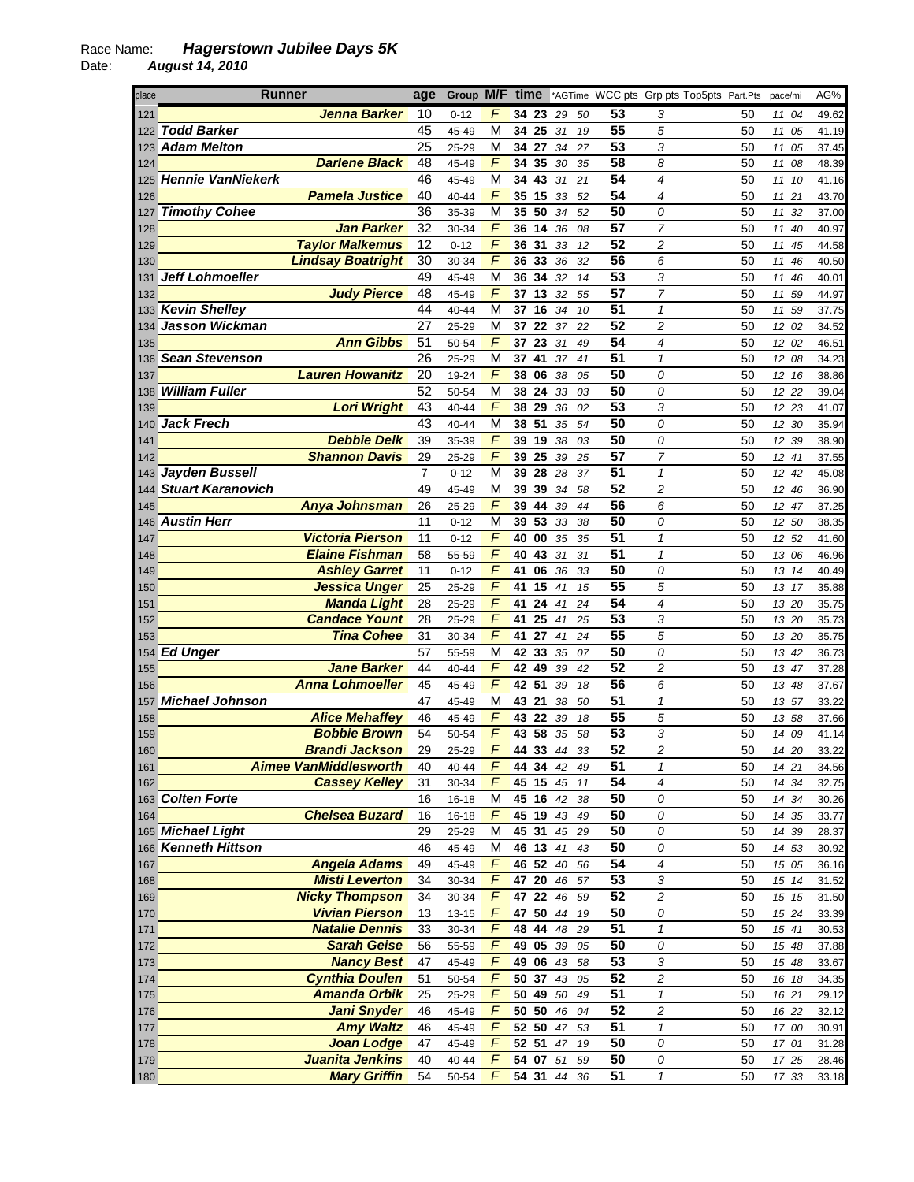Date: *August 14, 2010* 

| place      | Runner                                       | age             | Group M/F time |                     |                    |          |          |          |                                    | *AGTime WCC pts Grp pts Top5pts Part.Pts |          | pace/mi        | AG%            |
|------------|----------------------------------------------|-----------------|----------------|---------------------|--------------------|----------|----------|----------|------------------------------------|------------------------------------------|----------|----------------|----------------|
| 121        | Jenna Barker                                 | 10              | $0 - 12$       | F                   | 34 23              |          | 29       | 50       | 53                                 | 3                                        | 50       | 11 04          | 49.62          |
|            | 122 Todd Barker                              | 45              | 45-49          | M                   | 34 25              |          | 31       | 19       | 55                                 | 5                                        | 50       | 11<br>05       | 41.19          |
|            | 123 Adam Melton                              | 25              | 25-29          | M                   | 34                 | 27       | 34       | 27       | 53                                 | 3                                        | 50       | 11<br>05       | 37.45          |
| 124        | <b>Darlene Black</b>                         | 48              | 45-49          | $\sqrt{ }$          | 34 35              |          | 30       | 35       | 58                                 | 8                                        | 50       | 11 08          | 48.39          |
|            | 125 Hennie VanNiekerk                        | 46              | 45-49          | M                   | 34                 | 43       | 31       | 21       | 54                                 | 4                                        | 50       | 11<br>10       | 41.16          |
| 126        | <b>Pamela Justice</b>                        | 40              | 40-44          | F                   | 35 15              |          | 33       | 52       | 54                                 | 4                                        | 50       | 11 21          | 43.70          |
| 127        | <b>Timothy Cohee</b>                         | $\overline{36}$ | 35-39          | M                   | 35 50              |          | 34       | 52       | $\overline{50}$                    | 0                                        | 50       | 11 32          | 37.00          |
| 128        | <b>Jan Parker</b>                            | 32              | 30-34          | $\overline{F}$      | 36                 | 14       | 36       | 08       | $\overline{57}$                    | $\overline{7}$                           | 50       | 11<br>40       | 40.97          |
| 129        | <b>Taylor Malkemus</b>                       | 12              | $0 - 12$       | $\overline{F}$      | 36 31              |          | 33       | 12       | 52                                 | 2                                        | 50       | 11<br>45       | 44.58          |
| 130        | <b>Lindsay Boatright</b>                     | 30              | 30-34          | $\overline{F}$      | 36 33              |          | 36       | 32       | 56                                 | 6                                        | 50       | 11 46          | 40.50          |
| 131        | Jeff Lohmoeller                              | 49              | 45-49          | M                   | 36 34              |          | 32       | 14       | 53                                 | 3                                        | 50       | 11<br>46       | 40.01          |
| 132        | <b>Judy Pierce</b>                           | 48              | 45-49          | F                   | 37 13              |          | 32       | 55       | 57                                 | $\overline{7}$                           | 50       | 11 59          | 44.97          |
|            | 133 Kevin Shelley                            | 44<br>27        | 40-44          | M                   | 37 16              |          | 34       | 10       | $\overline{51}$<br>$\overline{52}$ | $\mathbf{1}$                             | 50       | 11 59          | 37.75          |
|            | 134 Jasson Wickman<br><b>Ann Gibbs</b>       | 51              | 25-29          | M<br>$\sqrt{2}$     | 37<br>37 23        | 22       | 37       | 22<br>49 | 54                                 | 2<br>4                                   | 50<br>50 | 12 02          | 34.52          |
| 135        | 136 Sean Stevenson                           | 26              | 50-54<br>25-29 | M                   | 37                 | 41       | 31<br>37 | 41       | $\overline{51}$                    | $\mathbf{1}$                             | 50       | 12 02<br>12 08 | 46.51<br>34.23 |
| 137        | <b>Lauren Howanitz</b>                       | 20              | 19-24          | F                   | 38 06              |          | 38       | 05       | 50                                 | 0                                        | 50       | 12 16          | 38.86          |
| 138        | <b>William Fuller</b>                        | 52              | 50-54          | M                   | $\overline{38}$ 24 |          | 33       | 03       | 50                                 | 0                                        | 50       | 12 22          | 39.04          |
| 139        | <b>Lori Wright</b>                           | 43              | 40-44          | $\sqrt{ }$          | 38 29              |          | 36       | 02       | 53                                 | 3                                        | 50       | 12 23          | 41.07          |
| 140        | Jack Frech                                   | 43              | 40-44          | M                   | 38 51              |          | 35       | 54       | 50                                 | 0                                        | 50       | 12 30          | 35.94          |
| 141        | <b>Debbie Delk</b>                           | 39              | 35-39          | $\overline{F}$      | 39 19              |          | 38       | 03       | 50                                 | 0                                        | 50       | 12 39          | 38.90          |
| 142        | <b>Shannon Davis</b>                         | 29              | 25-29          | F                   | 39 25              |          | 39       | 25       | 57                                 | 7                                        | 50       | 12 41          | 37.55          |
|            | 143 Jayden Bussell                           | 7               | $0 - 12$       | М                   | 39 28              |          | 28       | 37       | 51                                 | 1                                        | 50       | 12 42          | 45.08          |
|            | 144 Stuart Karanovich                        | 49              | 45-49          | М                   | 39 39              |          | 34       | 58       | $\overline{52}$                    | $\overline{c}$                           | 50       | 12 46          | 36.90          |
| 145        | Anya Johnsman                                | 26              | 25-29          | $\sqrt{2}$          | 39                 | 44       | 39       | 44       | $\overline{56}$                    | 6                                        | 50       | 12 47          | 37.25          |
|            | 146 Austin Herr                              | 11              | $0 - 12$       | M                   | 39 53              |          | 33       | 38       | 50                                 | 0                                        | 50       | 12 50          | 38.35          |
| 147        | <b>Victoria Pierson</b>                      | 11              | $0 - 12$       | F                   | 40 00              |          | 35       | 35       | 51                                 | $\mathbf{1}$                             | 50       | 12 52          | 41.60          |
| 148        | <b>Elaine Fishman</b>                        | 58              | 55-59          | F                   | 40                 | 43       | 31       | 31       | 51                                 | $\mathbf{1}$                             | 50       | 13 06          | 46.96          |
| 149        | <b>Ashley Garret</b>                         | 11              | $0 - 12$       | F                   | 41                 | 06       | 36       | 33       | 50                                 | 0                                        | 50       | 13 14          | 40.49          |
| 150        | <b>Jessica Unger</b>                         | 25              | 25-29          | F                   | 41                 | 15       | 41       | 15       | $\overline{55}$                    | 5                                        | 50       | 13 17          | 35.88          |
| 151        | <b>Manda Light</b>                           | 28              | 25-29          | $\overline{F}$      | 41                 | 24       | 41       | 24       | 54                                 | 4                                        | 50       | 13 20          | 35.75          |
| 152        | <b>Candace Yount</b>                         | 28              | 25-29          | $\overline{F}$      | 41                 | 25       | 41       | 25       | 53                                 | 3                                        | 50       | 13 20          | 35.73          |
| 153        | <b>Tina Cohee</b>                            | 31              | 30-34          | F                   | 41                 | 27       | 41       | 24       | 55                                 | 5                                        | 50       | 13 20          | 35.75          |
|            | 154 Ed Unger                                 | 57              | 55-59          | М                   | 42 33              |          | 35       | 07       | 50                                 | 0                                        | 50       | 13 42          | 36.73          |
| 155        | <b>Jane Barker</b>                           | 44              | 40-44          | $\sqrt{2}$          | 42 49              |          | 39       | 42       | 52                                 | $\overline{c}$                           | 50       | 13 47          | 37.28          |
| 156        | <b>Anna Lohmoeller</b>                       | 45              | 45-49          | $\sqrt{ }$          | 42 51              |          | 39       | 18       | 56                                 | 6                                        | 50       | 13 48          | 37.67          |
|            | 157 Michael Johnson                          | 47              | 45-49          | M<br>$\sqrt{ }$     | 43 21<br>43 22     |          | 38       | 50       | 51<br>55                           | $\mathbf{1}$                             | 50       | 13 57          | 33.22          |
| 158<br>159 | <b>Alice Mehaffey</b><br><b>Bobbie Brown</b> | 46<br>54        | 45-49<br>50-54 | F                   | 43 58              |          | 39<br>35 | 18<br>58 | 53                                 | 5<br>3                                   | 50<br>50 | 13 58<br>14 09 | 37.66<br>41.14 |
| 160        | <b>Brandi Jackson</b>                        | 29              | 25-29          | F                   | 44 33              |          | 44       | 33       | 52                                 | $\overline{c}$                           | 50       | 14 20          | 33.22          |
| 161        | <b>Aimee VanMiddlesworth</b>                 | 40              | 40-44          | F.                  |                    | 44 34 42 |          | 49       | 51                                 | 1                                        | 50       | 14 21          | 34.56          |
| 162        | <b>Cassey Kelley</b>                         | 31              | 30-34          | $\overline{F}$      | $45 \; 15$         |          | 45       | 11       | 54                                 | 4                                        | 50       | 14 34          | 32.75          |
|            | 163 Colten Forte                             | 16              | $16 - 18$      | M                   |                    | 45 16 42 |          | 38       | 50                                 | 0                                        | 50       | 14 34          | 30.26          |
| 164        | <b>Chelsea Buzard</b>                        | 16              | $16 - 18$      | $\sqrt{2}$          | 45 19              |          | 43       | 49       | 50                                 | 0                                        | 50       | 14 35          | 33.77          |
|            | 165 Michael Light                            | 29              | 25-29          | М                   |                    | 45 31 45 |          | 29       | 50                                 | 0                                        | 50       | 14 39          | 28.37          |
|            | 166 Kenneth Hittson                          | 46              | 45-49          | M                   |                    | 46 13 41 |          | 43       | 50                                 | 0                                        | 50       | 14 53          | 30.92          |
| 167        | <b>Angela Adams</b>                          | 49              | 45-49          | $\sqrt{2}$          |                    | 46 52 40 |          | 56       | 54                                 | 4                                        | 50       | 15 05          | 36.16          |
| 168        | <b>Misti Leverton</b>                        | 34              | 30-34          | F                   |                    | 47 20 46 |          | 57       | 53                                 | 3                                        | 50       | 15 14          | 31.52          |
| 169        | <b>Nicky Thompson</b>                        | 34              | 30-34          | F                   |                    | 47 22 46 |          | 59       | 52                                 | $\overline{c}$                           | 50       | 15 15          | 31.50          |
| 170        | <b>Vivian Pierson</b>                        | 13              | $13 - 15$      | F                   |                    | 47 50 44 |          | 19       | 50                                 | 0                                        | 50       | 15 24          | 33.39          |
| 171        | <b>Natalie Dennis</b>                        | 33              | 30-34          | F                   |                    | 48 44 48 |          | 29       | 51                                 | $\mathbf{1}$                             | 50       | 15 41          | 30.53          |
| 172        | <b>Sarah Geise</b>                           | 56              | 55-59          | $\overline{F}$      |                    | 49 05 39 |          | 05       | 50                                 | 0                                        | 50       | 15 48          | 37.88          |
| 173        | <b>Nancy Best</b>                            | 47              | 45-49          | $\overline{F}$      | 49 06              |          | 43       | 58       | $\overline{53}$                    | 3                                        | 50       | 15 48          | 33.67          |
| 174        | <b>Cynthia Doulen</b>                        | 51              | 50-54          | $\overline{F}$      |                    | 50 37 43 |          | 05       | $\overline{52}$                    | $\overline{\mathbf{c}}$                  | 50       | 16 18          | 34.35          |
| 175        | <b>Amanda Orbik</b>                          | 25              | 25-29          | F                   | 50 49              |          | 50       | 49       | $\overline{51}$                    | $\mathbf{1}$                             | 50       | 16 21          | 29.12          |
| 176        | <b>Jani Snyder</b>                           | 46              | 45-49          | F                   |                    | 50 50 46 |          | 04       | 52                                 | 2                                        | 50       | 16 22          | 32.12          |
| 177        | <b>Amy Waltz</b>                             | 46              | 45-49          | F                   |                    | 52 50 47 |          | 53       | 51                                 | $\mathbf{1}$                             | 50       | 17 00          | 30.91          |
| 178        | <b>Joan Lodge</b>                            | 47              | 45-49          | F<br>$\overline{F}$ | 52 51              |          | 47       | 19       | 50                                 | 0                                        | 50       | 17 01          | 31.28          |
| 179        | Juanita Jenkins<br><b>Mary Griffin</b>       | 40              | 40-44          | $\overline{F}$      |                    | 54 07 51 |          | 59       | 50<br>51                           | 0                                        | 50       | 17 25          | 28.46          |
| 180        |                                              | 54              | 50-54          |                     |                    | 54 31 44 |          | 36       |                                    | $\pmb{\mathcal{1}}$                      | 50       | 17 33          | 33.18          |